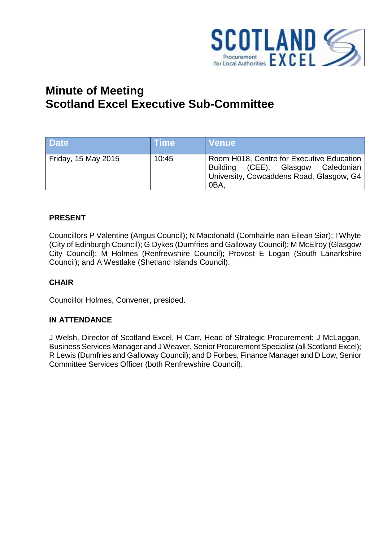

# **Minute of Meeting Scotland Excel Executive Sub-Committee**

| <b>Date</b>         | Time  | <b>Venue</b>                                                                                                                       |
|---------------------|-------|------------------------------------------------------------------------------------------------------------------------------------|
| Friday, 15 May 2015 | 10:45 | Room H018, Centre for Executive Education<br>Building (CEE), Glasgow Caledonian<br>University, Cowcaddens Road, Glasgow, G4<br>0BA |

#### **PRESENT**

Councillors P Valentine (Angus Council); N Macdonald (Comhairle nan Eilean Siar); I Whyte (City of Edinburgh Council); G Dykes (Dumfries and Galloway Council); M McElroy (Glasgow City Council); M Holmes (Renfrewshire Council); Provost E Logan (South Lanarkshire Council); and A Westlake (Shetland Islands Council).

#### **CHAIR**

Councillor Holmes, Convener, presided.

#### **IN ATTENDANCE**

J Welsh, Director of Scotland Excel, H Carr, Head of Strategic Procurement; J McLaggan, Business Services Manager and J Weaver, Senior Procurement Specialist (all Scotland Excel); R Lewis (Dumfries and Galloway Council); and D Forbes, Finance Manager and D Low, Senior Committee Services Officer (both Renfrewshire Council).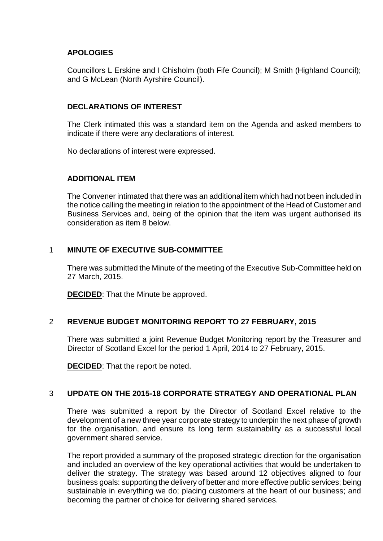## **APOLOGIES**

Councillors L Erskine and I Chisholm (both Fife Council); M Smith (Highland Council); and G McLean (North Ayrshire Council).

#### **DECLARATIONS OF INTEREST**

The Clerk intimated this was a standard item on the Agenda and asked members to indicate if there were any declarations of interest.

No declarations of interest were expressed.

#### **ADDITIONAL ITEM**

The Convener intimated that there was an additional item which had not been included in the notice calling the meeting in relation to the appointment of the Head of Customer and Business Services and, being of the opinion that the item was urgent authorised its consideration as item 8 below.

## 1 **MINUTE OF EXECUTIVE SUB-COMMITTEE**

There was submitted the Minute of the meeting of the Executive Sub-Committee held on 27 March, 2015.

**DECIDED**: That the Minute be approved.

# 2 **REVENUE BUDGET MONITORING REPORT TO 27 FEBRUARY, 2015**

There was submitted a joint Revenue Budget Monitoring report by the Treasurer and Director of Scotland Excel for the period 1 April, 2014 to 27 February, 2015.

**DECIDED:** That the report be noted.

#### 3 **UPDATE ON THE 2015-18 CORPORATE STRATEGY AND OPERATIONAL PLAN**

There was submitted a report by the Director of Scotland Excel relative to the development of a new three year corporate strategy to underpin the next phase of growth for the organisation, and ensure its long term sustainability as a successful local government shared service.

The report provided a summary of the proposed strategic direction for the organisation and included an overview of the key operational activities that would be undertaken to deliver the strategy. The strategy was based around 12 objectives aligned to four business goals: supporting the delivery of better and more effective public services; being sustainable in everything we do; placing customers at the heart of our business; and becoming the partner of choice for delivering shared services.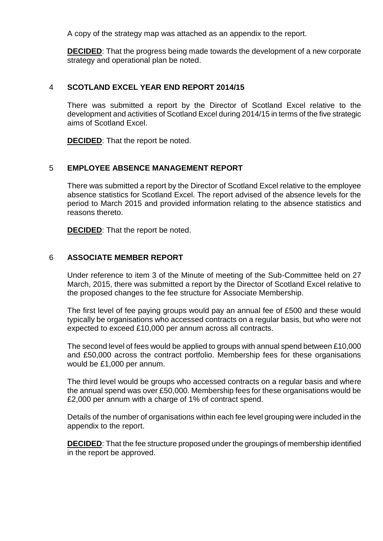A copy of the strategy map was attached as an appendix to the report.

**DECIDED**: That the progress being made towards the development of a new corporate strategy and operational plan be noted.

#### 4 **SCOTLAND EXCEL YEAR END REPORT 2014/15**

There was submitted a report by the Director of Scotland Excel relative to the development and activities of Scotland Excel during 2014/15 in terms of the five strategic aims of Scotland Excel.

**DECIDED**: That the report be noted.

#### 5 **EMPLOYEE ABSENCE MANAGEMENT REPORT**

There was submitted a report by the Director of Scotland Excel relative to the employee absence statistics for Scotland Excel. The report advised of the absence levels for the period to March 2015 and provided information relating to the absence statistics and reasons thereto.

**DECIDED:** That the report be noted.

#### 6 **ASSOCIATE MEMBER REPORT**

Under reference to item 3 of the Minute of meeting of the Sub-Committee held on 27 March, 2015, there was submitted a report by the Director of Scotland Excel relative to the proposed changes to the fee structure for Associate Membership.

The first level of fee paying groups would pay an annual fee of £500 and these would typically be organisations who accessed contracts on a regular basis, but who were not expected to exceed £10,000 per annum across all contracts.

The second level of fees would be applied to groups with annual spend between £10,000 and £50,000 across the contract portfolio. Membership fees for these organisations would be £1,000 per annum.

The third level would be groups who accessed contracts on a regular basis and where the annual spend was over £50,000. Membership fees for these organisations would be £2,000 per annum with a charge of 1% of contract spend.

Details of the number of organisations within each fee level grouping were included in the appendix to the report.

**DECIDED**: That the fee structure proposed under the groupings of membership identified in the report be approved.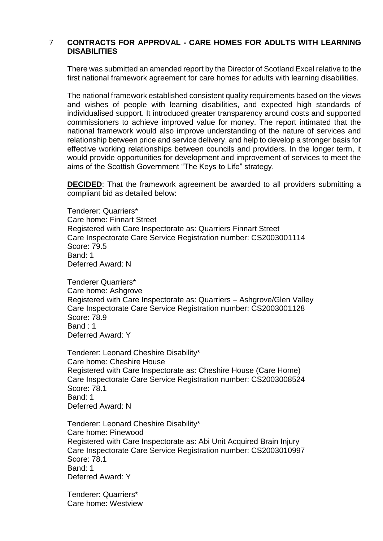#### 7 **CONTRACTS FOR APPROVAL - CARE HOMES FOR ADULTS WITH LEARNING DISABILITIES**

There was submitted an amended report by the Director of Scotland Excel relative to the first national framework agreement for care homes for adults with learning disabilities.

The national framework established consistent quality requirements based on the views and wishes of people with learning disabilities, and expected high standards of individualised support. It introduced greater transparency around costs and supported commissioners to achieve improved value for money. The report intimated that the national framework would also improve understanding of the nature of services and relationship between price and service delivery, and help to develop a stronger basis for effective working relationships between councils and providers. In the longer term, it would provide opportunities for development and improvement of services to meet the aims of the Scottish Government "The Keys to Life" strategy.

**DECIDED**: That the framework agreement be awarded to all providers submitting a compliant bid as detailed below:

Tenderer: Quarriers\* Care home: Finnart Street Registered with Care Inspectorate as: Quarriers Finnart Street Care Inspectorate Care Service Registration number: CS2003001114 Score: 79.5 Band: 1 Deferred Award: N

Tenderer Quarriers\* Care home: Ashgrove Registered with Care Inspectorate as: Quarriers – Ashgrove/Glen Valley Care Inspectorate Care Service Registration number: CS2003001128 Score: 78.9 Band : 1 Deferred Award: Y

Tenderer: Leonard Cheshire Disability\* Care home: Cheshire House Registered with Care Inspectorate as: Cheshire House (Care Home) Care Inspectorate Care Service Registration number: CS2003008524 Score: 78.1 Band: 1 Deferred Award: N

Tenderer: Leonard Cheshire Disability\* Care home: Pinewood Registered with Care Inspectorate as: Abi Unit Acquired Brain Injury Care Inspectorate Care Service Registration number: CS2003010997 Score: 78.1 Band: 1 Deferred Award: Y

Tenderer: Quarriers\* Care home: Westview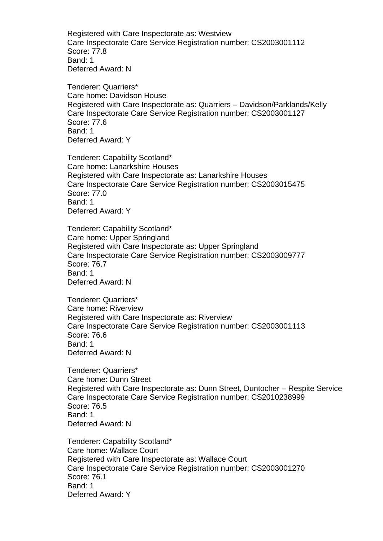Registered with Care Inspectorate as: Westview Care Inspectorate Care Service Registration number: CS2003001112 Score: 77.8 Band: 1 Deferred Award: N

Tenderer: Quarriers\* Care home: Davidson House Registered with Care Inspectorate as: Quarriers – Davidson/Parklands/Kelly Care Inspectorate Care Service Registration number: CS2003001127 Score: 77.6 Band: 1 Deferred Award: Y

Tenderer: Capability Scotland\* Care home: Lanarkshire Houses Registered with Care Inspectorate as: Lanarkshire Houses Care Inspectorate Care Service Registration number: CS2003015475 Score: 77.0 Band: 1 Deferred Award: Y

Tenderer: Capability Scotland\* Care home: Upper Springland Registered with Care Inspectorate as: Upper Springland Care Inspectorate Care Service Registration number: CS2003009777 Score: 76.7 Band: 1 Deferred Award: N

Tenderer: Quarriers\* Care home: Riverview Registered with Care Inspectorate as: Riverview Care Inspectorate Care Service Registration number: CS2003001113 Score: 76.6 Band: 1 Deferred Award: N

Tenderer: Quarriers\* Care home: Dunn Street Registered with Care Inspectorate as: Dunn Street, Duntocher – Respite Service Care Inspectorate Care Service Registration number: CS2010238999 Score: 76.5 Band: 1 Deferred Award: N

Tenderer: Capability Scotland\* Care home: Wallace Court Registered with Care Inspectorate as: Wallace Court Care Inspectorate Care Service Registration number: CS2003001270 Score: 76.1 Band: 1 Deferred Award: Y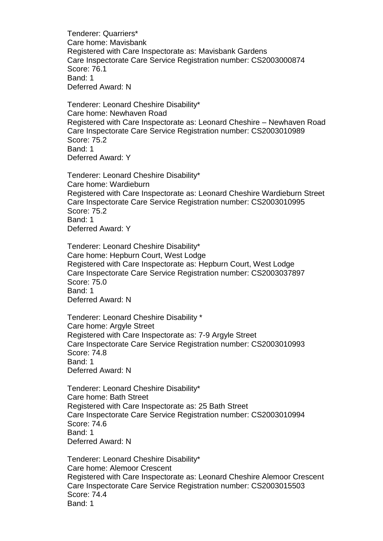Tenderer: Quarriers\* Care home: Mavisbank Registered with Care Inspectorate as: Mavisbank Gardens Care Inspectorate Care Service Registration number: CS2003000874 Score: 76.1 Band: 1 Deferred Award: N

Tenderer: Leonard Cheshire Disability\* Care home: Newhaven Road Registered with Care Inspectorate as: Leonard Cheshire – Newhaven Road Care Inspectorate Care Service Registration number: CS2003010989 Score: 75.2 Band: 1 Deferred Award: Y

Tenderer: Leonard Cheshire Disability\* Care home: Wardieburn Registered with Care Inspectorate as: Leonard Cheshire Wardieburn Street Care Inspectorate Care Service Registration number: CS2003010995 Score: 75.2 Band: 1 Deferred Award: Y

Tenderer: Leonard Cheshire Disability\* Care home: Hepburn Court, West Lodge Registered with Care Inspectorate as: Hepburn Court, West Lodge Care Inspectorate Care Service Registration number: CS2003037897 Score: 75.0 Band: 1 Deferred Award: N

Tenderer: Leonard Cheshire Disability \* Care home: Argyle Street Registered with Care Inspectorate as: 7-9 Argyle Street Care Inspectorate Care Service Registration number: CS2003010993 Score: 74.8 Band: 1 Deferred Award: N

Tenderer: Leonard Cheshire Disability\* Care home: Bath Street Registered with Care Inspectorate as: 25 Bath Street Care Inspectorate Care Service Registration number: CS2003010994 Score: 74.6 Band: 1 Deferred Award: N

Tenderer: Leonard Cheshire Disability\* Care home: Alemoor Crescent Registered with Care Inspectorate as: Leonard Cheshire Alemoor Crescent Care Inspectorate Care Service Registration number: CS2003015503 Score: 74.4 Band: 1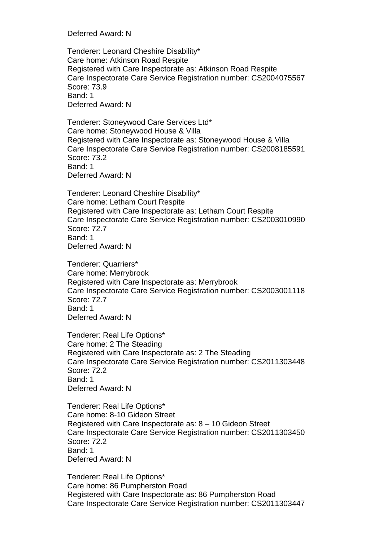Deferred Award: N

Tenderer: Leonard Cheshire Disability\* Care home: Atkinson Road Respite Registered with Care Inspectorate as: Atkinson Road Respite Care Inspectorate Care Service Registration number: CS2004075567 Score: 73.9 Band: 1 Deferred Award: N

Tenderer: Stoneywood Care Services Ltd\* Care home: Stoneywood House & Villa Registered with Care Inspectorate as: Stoneywood House & Villa Care Inspectorate Care Service Registration number: CS2008185591 Score: 73.2 Band: 1 Deferred Award: N

Tenderer: Leonard Cheshire Disability\* Care home: Letham Court Respite Registered with Care Inspectorate as: Letham Court Respite Care Inspectorate Care Service Registration number: CS2003010990 Score: 72.7 Band: 1 Deferred Award: N

Tenderer: Quarriers\* Care home: Merrybrook Registered with Care Inspectorate as: Merrybrook Care Inspectorate Care Service Registration number: CS2003001118 Score: 72.7 Band: 1 Deferred Award: N

Tenderer: Real Life Options\* Care home: 2 The Steading Registered with Care Inspectorate as: 2 The Steading Care Inspectorate Care Service Registration number: CS2011303448 Score: 72.2 Band: 1 Deferred Award: N

Tenderer: Real Life Options\* Care home: 8-10 Gideon Street Registered with Care Inspectorate as: 8 – 10 Gideon Street Care Inspectorate Care Service Registration number: CS2011303450 Score: 72.2 Band: 1 Deferred Award: N

Tenderer: Real Life Options\* Care home: 86 Pumpherston Road Registered with Care Inspectorate as: 86 Pumpherston Road Care Inspectorate Care Service Registration number: CS2011303447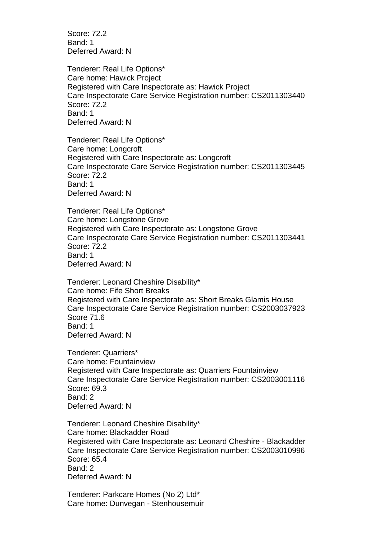Score: 72.2 Band: 1 Deferred Award: N

Tenderer: Real Life Options\* Care home: Hawick Project Registered with Care Inspectorate as: Hawick Project Care Inspectorate Care Service Registration number: CS2011303440 Score: 72.2 Band: 1 Deferred Award: N

Tenderer: Real Life Options\* Care home: Longcroft Registered with Care Inspectorate as: Longcroft Care Inspectorate Care Service Registration number: CS2011303445 Score: 72.2 Band: 1 Deferred Award: N

Tenderer: Real Life Options\* Care home: Longstone Grove Registered with Care Inspectorate as: Longstone Grove Care Inspectorate Care Service Registration number: CS2011303441 Score: 72.2 Band: 1 Deferred Award: N

Tenderer: Leonard Cheshire Disability\* Care home: Fife Short Breaks Registered with Care Inspectorate as: Short Breaks Glamis House Care Inspectorate Care Service Registration number: CS2003037923 Score 71.6 Band: 1 Deferred Award: N

Tenderer: Quarriers\* Care home: Fountainview Registered with Care Inspectorate as: Quarriers Fountainview Care Inspectorate Care Service Registration number: CS2003001116 Score: 69.3 Band: 2 Deferred Award: N

Tenderer: Leonard Cheshire Disability\* Care home: Blackadder Road Registered with Care Inspectorate as: Leonard Cheshire - Blackadder Care Inspectorate Care Service Registration number: CS2003010996 Score: 65.4 Band: 2 Deferred Award: N

Tenderer: Parkcare Homes (No 2) Ltd\* Care home: Dunvegan - Stenhousemuir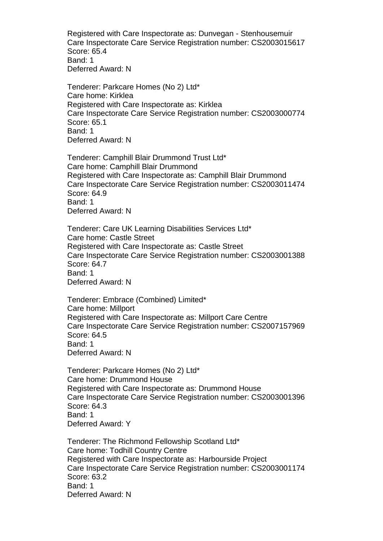Registered with Care Inspectorate as: Dunvegan - Stenhousemuir Care Inspectorate Care Service Registration number: CS2003015617 Score: 65.4 Band: 1 Deferred Award: N

Tenderer: Parkcare Homes (No 2) Ltd\* Care home: Kirklea Registered with Care Inspectorate as: Kirklea Care Inspectorate Care Service Registration number: CS2003000774 Score: 65.1 Band: 1 Deferred Award: N

Tenderer: Camphill Blair Drummond Trust Ltd\* Care home: Camphill Blair Drummond Registered with Care Inspectorate as: Camphill Blair Drummond Care Inspectorate Care Service Registration number: CS2003011474 Score: 64.9 Band: 1 Deferred Award: N

Tenderer: Care UK Learning Disabilities Services Ltd\* Care home: Castle Street Registered with Care Inspectorate as: Castle Street Care Inspectorate Care Service Registration number: CS2003001388 Score: 64.7 Band: 1 Deferred Award: N

Tenderer: Embrace (Combined) Limited\* Care home: Millport Registered with Care Inspectorate as: Millport Care Centre Care Inspectorate Care Service Registration number: CS2007157969 Score: 64.5 Band: 1 Deferred Award: N

Tenderer: Parkcare Homes (No 2) Ltd\* Care home: Drummond House Registered with Care Inspectorate as: Drummond House Care Inspectorate Care Service Registration number: CS2003001396 Score: 64.3 Band: 1 Deferred Award: Y

Tenderer: The Richmond Fellowship Scotland Ltd\* Care home: Todhill Country Centre Registered with Care Inspectorate as: Harbourside Project Care Inspectorate Care Service Registration number: CS2003001174 Score: 63.2 Band: 1 Deferred Award: N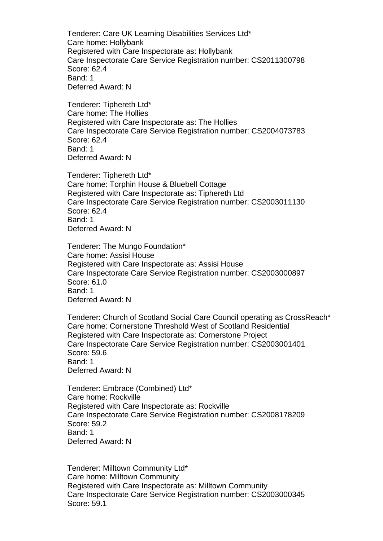Tenderer: Care UK Learning Disabilities Services Ltd\* Care home: Hollybank Registered with Care Inspectorate as: Hollybank Care Inspectorate Care Service Registration number: CS2011300798 Score: 62.4 Band: 1 Deferred Award: N

Tenderer: Tiphereth Ltd\* Care home: The Hollies Registered with Care Inspectorate as: The Hollies Care Inspectorate Care Service Registration number: CS2004073783 Score: 62.4 Band: 1 Deferred Award: N

Tenderer: Tiphereth Ltd\* Care home: Torphin House & Bluebell Cottage Registered with Care Inspectorate as: Tiphereth Ltd Care Inspectorate Care Service Registration number: CS2003011130 Score: 62.4 Band: 1 Deferred Award: N

Tenderer: The Mungo Foundation\* Care home: Assisi House Registered with Care Inspectorate as: Assisi House Care Inspectorate Care Service Registration number: CS2003000897 Score: 61.0 Band: 1 Deferred Award: N

Tenderer: Church of Scotland Social Care Council operating as CrossReach\* Care home: Cornerstone Threshold West of Scotland Residential Registered with Care Inspectorate as: Cornerstone Project Care Inspectorate Care Service Registration number: CS2003001401 Score: 59.6 Band: 1 Deferred Award: N

Tenderer: Embrace (Combined) Ltd\* Care home: Rockville Registered with Care Inspectorate as: Rockville Care Inspectorate Care Service Registration number: CS2008178209 Score: 59.2 Band: 1 Deferred Award: N

Tenderer: Milltown Community Ltd\* Care home: Milltown Community Registered with Care Inspectorate as: Milltown Community Care Inspectorate Care Service Registration number: CS2003000345 Score: 59.1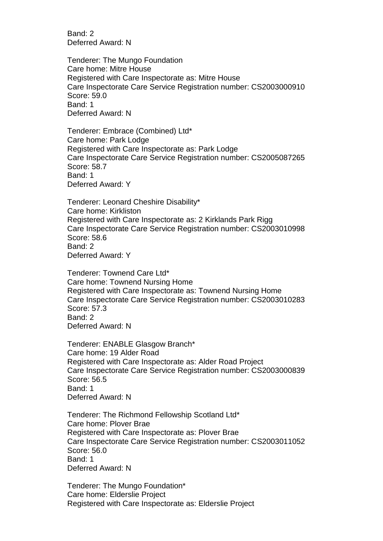Band: 2 Deferred Award: N

Tenderer: The Mungo Foundation Care home: Mitre House Registered with Care Inspectorate as: Mitre House Care Inspectorate Care Service Registration number: CS2003000910 Score: 59.0 Band: 1 Deferred Award: N

Tenderer: Embrace (Combined) Ltd\* Care home: Park Lodge Registered with Care Inspectorate as: Park Lodge Care Inspectorate Care Service Registration number: CS2005087265 Score: 58.7 Band: 1 Deferred Award: Y

Tenderer: Leonard Cheshire Disability\* Care home: Kirkliston Registered with Care Inspectorate as: 2 Kirklands Park Rigg Care Inspectorate Care Service Registration number: CS2003010998 Score: 58.6 Band: 2 Deferred Award: Y

Tenderer: Townend Care Ltd\* Care home: Townend Nursing Home Registered with Care Inspectorate as: Townend Nursing Home Care Inspectorate Care Service Registration number: CS2003010283 Score: 57.3 Band: 2 Deferred Award: N

Tenderer: ENABLE Glasgow Branch\* Care home: 19 Alder Road Registered with Care Inspectorate as: Alder Road Project Care Inspectorate Care Service Registration number: CS2003000839 Score: 56.5 Band: 1 Deferred Award: N

Tenderer: The Richmond Fellowship Scotland Ltd\* Care home: Plover Brae Registered with Care Inspectorate as: Plover Brae Care Inspectorate Care Service Registration number: CS2003011052 Score: 56.0 Band: 1 Deferred Award: N

Tenderer: The Mungo Foundation\* Care home: Elderslie Project Registered with Care Inspectorate as: Elderslie Project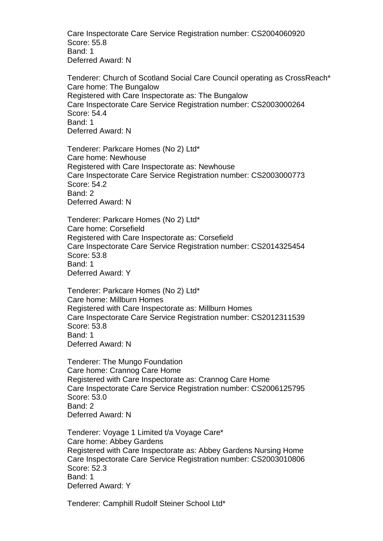Care Inspectorate Care Service Registration number: CS2004060920 Score: 55.8 Band: 1 Deferred Award: N

Tenderer: Church of Scotland Social Care Council operating as CrossReach\* Care home: The Bungalow Registered with Care Inspectorate as: The Bungalow Care Inspectorate Care Service Registration number: CS2003000264 Score: 54.4 Band: 1 Deferred Award: N

Tenderer: Parkcare Homes (No 2) Ltd\* Care home: Newhouse Registered with Care Inspectorate as: Newhouse Care Inspectorate Care Service Registration number: CS2003000773 Score: 54.2 Band: 2 Deferred Award: N

Tenderer: Parkcare Homes (No 2) Ltd\* Care home: Corsefield Registered with Care Inspectorate as: Corsefield Care Inspectorate Care Service Registration number: CS2014325454 Score: 53.8 Band: 1 Deferred Award: Y

Tenderer: Parkcare Homes (No 2) Ltd\* Care home: Millburn Homes Registered with Care Inspectorate as: Millburn Homes Care Inspectorate Care Service Registration number: CS2012311539 Score: 53.8 Band: 1 Deferred Award: N

Tenderer: The Mungo Foundation Care home: Crannog Care Home Registered with Care Inspectorate as: Crannog Care Home Care Inspectorate Care Service Registration number: CS2006125795 Score: 53.0 Band: 2 Deferred Award: N

Tenderer: Voyage 1 Limited t/a Voyage Care\* Care home: Abbey Gardens Registered with Care Inspectorate as: Abbey Gardens Nursing Home Care Inspectorate Care Service Registration number: CS2003010806 Score: 52.3 Band: 1 Deferred Award: Y

Tenderer: Camphill Rudolf Steiner School Ltd\*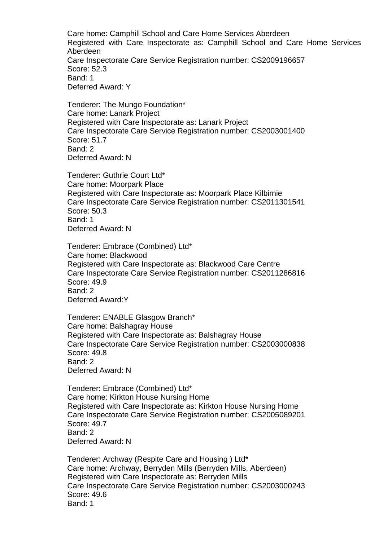Care home: Camphill School and Care Home Services Aberdeen Registered with Care Inspectorate as: Camphill School and Care Home Services Aberdeen Care Inspectorate Care Service Registration number: CS2009196657 Score: 52.3 Band: 1 Deferred Award: Y

Tenderer: The Mungo Foundation\* Care home: Lanark Project Registered with Care Inspectorate as: Lanark Project Care Inspectorate Care Service Registration number: CS2003001400 Score: 51.7 Band: 2 Deferred Award: N

Tenderer: Guthrie Court Ltd\* Care home: Moorpark Place Registered with Care Inspectorate as: Moorpark Place Kilbirnie Care Inspectorate Care Service Registration number: CS2011301541 Score: 50.3 Band: 1 Deferred Award: N

Tenderer: Embrace (Combined) Ltd\* Care home: Blackwood Registered with Care Inspectorate as: Blackwood Care Centre Care Inspectorate Care Service Registration number: CS2011286816 Score: 49.9 Band: 2 Deferred Award:Y

Tenderer: ENABLE Glasgow Branch\* Care home: Balshagray House Registered with Care Inspectorate as: Balshagray House Care Inspectorate Care Service Registration number: CS2003000838 Score: 49.8 Band: 2 Deferred Award: N

Tenderer: Embrace (Combined) Ltd\* Care home: Kirkton House Nursing Home Registered with Care Inspectorate as: Kirkton House Nursing Home Care Inspectorate Care Service Registration number: CS2005089201 Score: 49.7 Band: 2 Deferred Award: N

Tenderer: Archway (Respite Care and Housing ) Ltd\* Care home: Archway, Berryden Mills (Berryden Mills, Aberdeen) Registered with Care Inspectorate as: Berryden Mills Care Inspectorate Care Service Registration number: CS2003000243 Score: 49.6 Band: 1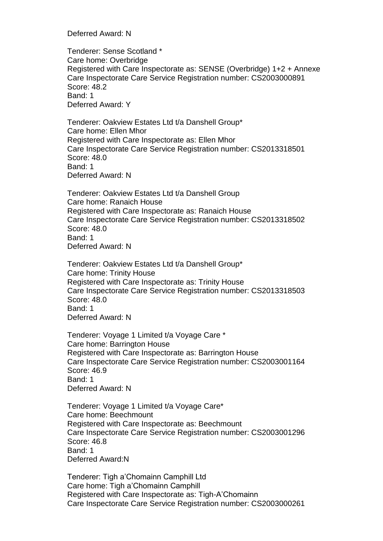Deferred Award: N

Tenderer: Sense Scotland \* Care home: Overbridge Registered with Care Inspectorate as: SENSE (Overbridge) 1+2 + Annexe Care Inspectorate Care Service Registration number: CS2003000891 Score: 48.2 Band: 1 Deferred Award: Y

Tenderer: Oakview Estates Ltd t/a Danshell Group\* Care home: Ellen Mhor Registered with Care Inspectorate as: Ellen Mhor Care Inspectorate Care Service Registration number: CS2013318501 Score: 48.0 Band: 1 Deferred Award: N

Tenderer: Oakview Estates Ltd t/a Danshell Group Care home: Ranaich House Registered with Care Inspectorate as: Ranaich House Care Inspectorate Care Service Registration number: CS2013318502 Score: 48.0 Band: 1 Deferred Award: N

Tenderer: Oakview Estates Ltd t/a Danshell Group\* Care home: Trinity House Registered with Care Inspectorate as: Trinity House Care Inspectorate Care Service Registration number: CS2013318503 Score: 48.0 Band: 1 Deferred Award: N

Tenderer: Voyage 1 Limited t/a Voyage Care \* Care home: Barrington House Registered with Care Inspectorate as: Barrington House Care Inspectorate Care Service Registration number: CS2003001164 Score: 46.9 Band: 1 Deferred Award: N

Tenderer: Voyage 1 Limited t/a Voyage Care\* Care home: Beechmount Registered with Care Inspectorate as: Beechmount Care Inspectorate Care Service Registration number: CS2003001296 Score: 46.8 Band: 1 Deferred Award:N

Tenderer: Tigh a'Chomainn Camphill Ltd Care home: Tigh a'Chomainn Camphill Registered with Care Inspectorate as: Tigh-A'Chomainn Care Inspectorate Care Service Registration number: CS2003000261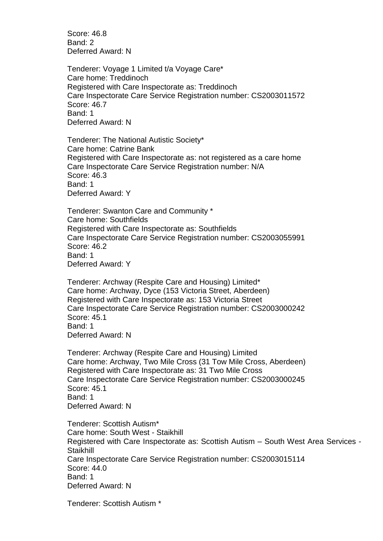Score: 46.8 Band: 2 Deferred Award: N

Tenderer: Voyage 1 Limited t/a Voyage Care\* Care home: Treddinoch Registered with Care Inspectorate as: Treddinoch Care Inspectorate Care Service Registration number: CS2003011572 Score: 46.7 Band: 1 Deferred Award: N

Tenderer: The National Autistic Society\* Care home: Catrine Bank Registered with Care Inspectorate as: not registered as a care home Care Inspectorate Care Service Registration number: N/A Score: 46.3 Band: 1 Deferred Award: Y

Tenderer: Swanton Care and Community \* Care home: Southfields Registered with Care Inspectorate as: Southfields Care Inspectorate Care Service Registration number: CS2003055991 Score: 46.2 Band: 1 Deferred Award: Y

Tenderer: Archway (Respite Care and Housing) Limited\* Care home: Archway, Dyce (153 Victoria Street, Aberdeen) Registered with Care Inspectorate as: 153 Victoria Street Care Inspectorate Care Service Registration number: CS2003000242 Score: 45.1 Band: 1 Deferred Award: N

Tenderer: Archway (Respite Care and Housing) Limited Care home: Archway, Two Mile Cross (31 Tow Mile Cross, Aberdeen) Registered with Care Inspectorate as: 31 Two Mile Cross Care Inspectorate Care Service Registration number: CS2003000245 Score: 45.1 Band: 1 Deferred Award: N

Tenderer: Scottish Autism\* Care home: South West - Staikhill Registered with Care Inspectorate as: Scottish Autism – South West Area Services - **Staikhill** Care Inspectorate Care Service Registration number: CS2003015114 Score: 44.0 Band: 1 Deferred Award: N

Tenderer: Scottish Autism \*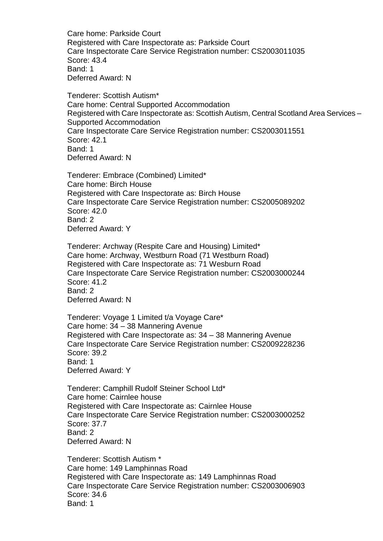Care home: Parkside Court Registered with Care Inspectorate as: Parkside Court Care Inspectorate Care Service Registration number: CS2003011035 Score: 43.4 Band: 1 Deferred Award: N

Tenderer: Scottish Autism\* Care home: Central Supported Accommodation Registered with Care Inspectorate as: Scottish Autism, Central Scotland Area Services – Supported Accommodation Care Inspectorate Care Service Registration number: CS2003011551 Score: 42.1 Band: 1 Deferred Award: N

Tenderer: Embrace (Combined) Limited\* Care home: Birch House Registered with Care Inspectorate as: Birch House Care Inspectorate Care Service Registration number: CS2005089202 Score: 42.0 Band: 2 Deferred Award: Y

Tenderer: Archway (Respite Care and Housing) Limited\* Care home: Archway, Westburn Road (71 Westburn Road) Registered with Care Inspectorate as: 71 Wesburn Road Care Inspectorate Care Service Registration number: CS2003000244 Score: 41.2 Band: 2 Deferred Award: N

Tenderer: Voyage 1 Limited t/a Voyage Care\* Care home: 34 – 38 Mannering Avenue Registered with Care Inspectorate as: 34 – 38 Mannering Avenue Care Inspectorate Care Service Registration number: CS2009228236 Score: 39.2 Band: 1 Deferred Award: Y

Tenderer: Camphill Rudolf Steiner School Ltd\* Care home: Cairnlee house Registered with Care Inspectorate as: Cairnlee House Care Inspectorate Care Service Registration number: CS2003000252 Score: 37.7 Band: 2 Deferred Award: N

Tenderer: Scottish Autism \* Care home: 149 Lamphinnas Road Registered with Care Inspectorate as: 149 Lamphinnas Road Care Inspectorate Care Service Registration number: CS2003006903 Score: 34.6 Band: 1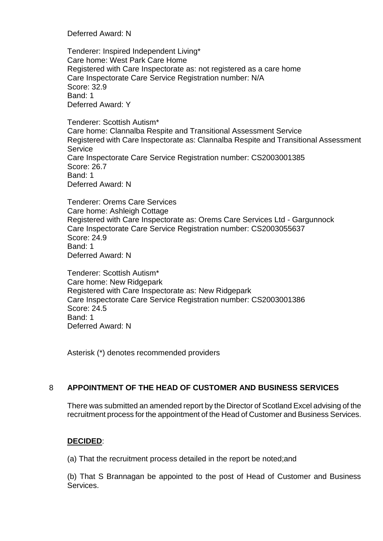Deferred Award: N

Tenderer: Inspired Independent Living\* Care home: West Park Care Home Registered with Care Inspectorate as: not registered as a care home Care Inspectorate Care Service Registration number: N/A Score: 32.9 Band: 1 Deferred Award: Y

Tenderer: Scottish Autism\* Care home: Clannalba Respite and Transitional Assessment Service Registered with Care Inspectorate as: Clannalba Respite and Transitional Assessment **Service** Care Inspectorate Care Service Registration number: CS2003001385 Score: 26.7 Band: 1 Deferred Award: N

Tenderer: Orems Care Services Care home: Ashleigh Cottage Registered with Care Inspectorate as: Orems Care Services Ltd - Gargunnock Care Inspectorate Care Service Registration number: CS2003055637 Score: 24.9 Band: 1 Deferred Award: N

Tenderer: Scottish Autism\* Care home: New Ridgepark Registered with Care Inspectorate as: New Ridgepark Care Inspectorate Care Service Registration number: CS2003001386 Score: 24.5 Band: 1 Deferred Award: N

Asterisk (\*) denotes recommended providers

# 8 **APPOINTMENT OF THE HEAD OF CUSTOMER AND BUSINESS SERVICES**

There was submitted an amended report by the Director of Scotland Excel advising of the recruitment process for the appointment of the Head of Customer and Business Services.

#### **DECIDED**:

(a) That the recruitment process detailed in the report be noted;and

(b) That S Brannagan be appointed to the post of Head of Customer and Business Services.